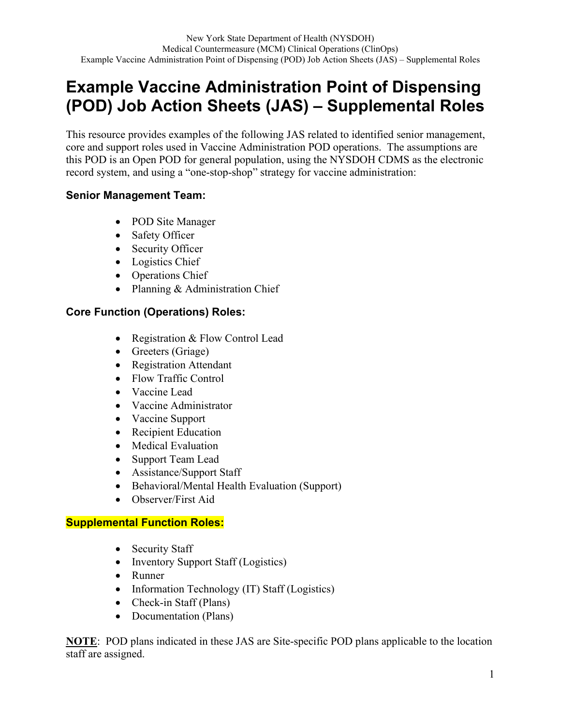# **Example Vaccine Administration Point of Dispensing (POD) Job Action Sheets (JAS) – Supplemental Roles**

This resource provides examples of the following JAS related to identified senior management, core and support roles used in Vaccine Administration POD operations. The assumptions are this POD is an Open POD for general population, using the NYSDOH CDMS as the electronic record system, and using a "one-stop-shop" strategy for vaccine administration:

### **Senior Management Team:**

- POD Site Manager
- Safety Officer
- Security Officer
- Logistics Chief
- Operations Chief
- Planning & Administration Chief

## **Core Function (Operations) Roles:**

- Registration & Flow Control Lead
- Greeters (Griage)
- Registration Attendant
- Flow Traffic Control
- Vaccine Lead
- Vaccine Administrator
- Vaccine Support
- Recipient Education
- Medical Evaluation
- Support Team Lead
- Assistance/Support Staff
- Behavioral/Mental Health Evaluation (Support)
- Observer/First Aid

## **Supplemental Function Roles:**

- Security Staff
- Inventory Support Staff (Logistics)
- Runner
- Information Technology (IT) Staff (Logistics)
- Check-in Staff (Plans)
- Documentation (Plans)

**NOTE**: POD plans indicated in these JAS are Site-specific POD plans applicable to the location staff are assigned.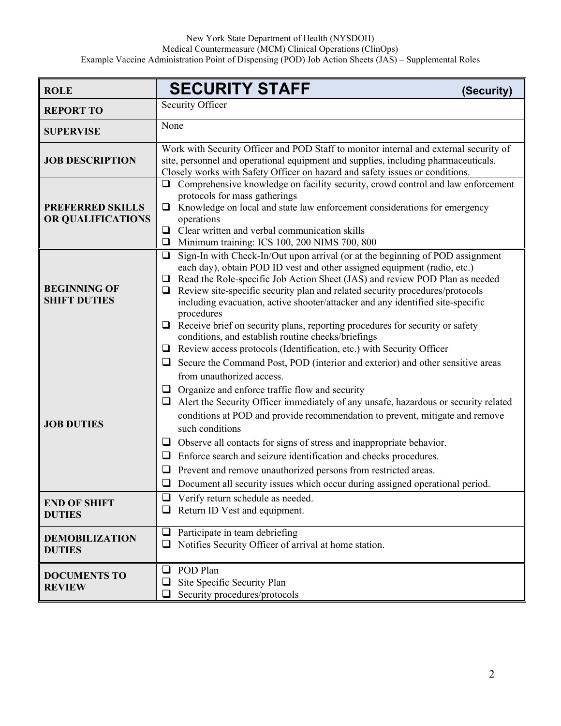| <b>ROLE</b>                                  | <b>SECURITY STAFF</b><br>(Security)                                                                                                                                                                                                                                                                                                                                                                                                                                                                                                                                                                                                                                                               |
|----------------------------------------------|---------------------------------------------------------------------------------------------------------------------------------------------------------------------------------------------------------------------------------------------------------------------------------------------------------------------------------------------------------------------------------------------------------------------------------------------------------------------------------------------------------------------------------------------------------------------------------------------------------------------------------------------------------------------------------------------------|
| <b>REPORT TO</b>                             | Security Officer                                                                                                                                                                                                                                                                                                                                                                                                                                                                                                                                                                                                                                                                                  |
| <b>SUPERVISE</b>                             | None                                                                                                                                                                                                                                                                                                                                                                                                                                                                                                                                                                                                                                                                                              |
| <b>JOB DESCRIPTION</b>                       | Work with Security Officer and POD Staff to monitor internal and external security of<br>site, personnel and operational equipment and supplies, including pharmaceuticals.<br>Closely works with Safety Officer on hazard and safety issues or conditions.                                                                                                                                                                                                                                                                                                                                                                                                                                       |
| <b>PREFERRED SKILLS</b><br>OR QUALIFICATIONS | $\Box$ Comprehensive knowledge on facility security, crowd control and law enforcement<br>protocols for mass gatherings<br>Knowledge on local and state law enforcement considerations for emergency<br>$\Box$<br>operations<br>$\Box$ Clear written and verbal communication skills<br>Minimum training: ICS 100, 200 NIMS 700, 800<br>□                                                                                                                                                                                                                                                                                                                                                         |
| <b>BEGINNING OF</b><br><b>SHIFT DUTIES</b>   | Sign-In with Check-In/Out upon arrival (or at the beginning of POD assignment<br>$\Box$<br>each day), obtain POD ID vest and other assigned equipment (radio, etc.)<br>Read the Role-specific Job Action Sheet (JAS) and review POD Plan as needed<br>$\Box$<br>Review site-specific security plan and related security procedures/protocols<br>⊔<br>including evacuation, active shooter/attacker and any identified site-specific<br>procedures<br>Receive brief on security plans, reporting procedures for security or safety<br>$\Box$<br>conditions, and establish routine checks/briefings<br>Review access protocols (Identification, etc.) with Security Officer<br>□                    |
| <b>JOB DUTIES</b>                            | $\Box$ Secure the Command Post, POD (interior and exterior) and other sensitive areas<br>from unauthorized access.<br>Organize and enforce traffic flow and security<br>⊔<br>Alert the Security Officer immediately of any unsafe, hazardous or security related<br>$\Box$<br>conditions at POD and provide recommendation to prevent, mitigate and remove<br>such conditions<br>$\Box$ Observe all contacts for signs of stress and inappropriate behavior.<br>Enforce search and seizure identification and checks procedures.<br>⊔<br>Prevent and remove unauthorized persons from restricted areas.<br>⊔<br>Document all security issues which occur during assigned operational period.<br>❏ |
| <b>END OF SHIFT</b><br><b>DUTIES</b>         | Verify return schedule as needed.<br>⊔<br>Return ID Vest and equipment.                                                                                                                                                                                                                                                                                                                                                                                                                                                                                                                                                                                                                           |
| <b>DEMOBILIZATION</b><br><b>DUTIES</b>       | Participate in team debriefing<br>$\Box$<br>Notifies Security Officer of arrival at home station.<br>⊔                                                                                                                                                                                                                                                                                                                                                                                                                                                                                                                                                                                            |
| <b>DOCUMENTS TO</b><br><b>REVIEW</b>         | POD Plan<br>❏<br>Site Specific Security Plan<br>Security procedures/protocols                                                                                                                                                                                                                                                                                                                                                                                                                                                                                                                                                                                                                     |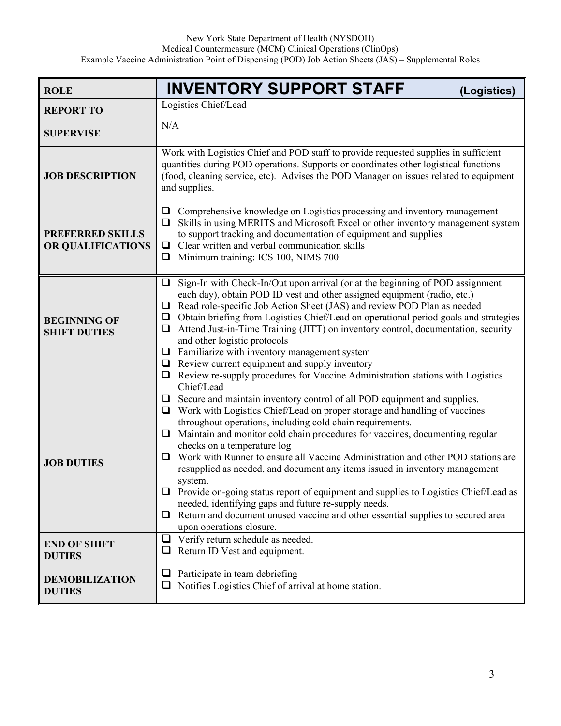| <b>ROLE</b>                                  | <b>INVENTORY SUPPORT STAFF</b><br>(Logistics)                                                                                                                                                                                                                                                                                                                                                                                                                                                                                                                                                                                                                                                                                                                                                                 |
|----------------------------------------------|---------------------------------------------------------------------------------------------------------------------------------------------------------------------------------------------------------------------------------------------------------------------------------------------------------------------------------------------------------------------------------------------------------------------------------------------------------------------------------------------------------------------------------------------------------------------------------------------------------------------------------------------------------------------------------------------------------------------------------------------------------------------------------------------------------------|
| <b>REPORT TO</b>                             | Logistics Chief/Lead                                                                                                                                                                                                                                                                                                                                                                                                                                                                                                                                                                                                                                                                                                                                                                                          |
| <b>SUPERVISE</b>                             | N/A                                                                                                                                                                                                                                                                                                                                                                                                                                                                                                                                                                                                                                                                                                                                                                                                           |
| <b>JOB DESCRIPTION</b>                       | Work with Logistics Chief and POD staff to provide requested supplies in sufficient<br>quantities during POD operations. Supports or coordinates other logistical functions<br>(food, cleaning service, etc). Advises the POD Manager on issues related to equipment<br>and supplies.                                                                                                                                                                                                                                                                                                                                                                                                                                                                                                                         |
| <b>PREFERRED SKILLS</b><br>OR QUALIFICATIONS | Comprehensive knowledge on Logistics processing and inventory management<br>⊔<br>$\Box$ Skills in using MERITS and Microsoft Excel or other inventory management system<br>to support tracking and documentation of equipment and supplies<br>$\Box$ Clear written and verbal communication skills<br>$\Box$ Minimum training: ICS 100, NIMS 700                                                                                                                                                                                                                                                                                                                                                                                                                                                              |
| <b>BEGINNING OF</b><br><b>SHIFT DUTIES</b>   | Sign-In with Check-In/Out upon arrival (or at the beginning of POD assignment<br>❏<br>each day), obtain POD ID vest and other assigned equipment (radio, etc.)<br>Read role-specific Job Action Sheet (JAS) and review POD Plan as needed<br>□<br>Obtain briefing from Logistics Chief/Lead on operational period goals and strategies<br>□<br>Attend Just-in-Time Training (JITT) on inventory control, documentation, security<br>❏<br>and other logistic protocols<br>$\Box$ Familiarize with inventory management system<br>$\Box$ Review current equipment and supply inventory<br>Review re-supply procedures for Vaccine Administration stations with Logistics<br>Chief/Lead                                                                                                                          |
| <b>JOB DUTIES</b>                            | $\Box$ Secure and maintain inventory control of all POD equipment and supplies.<br>Work with Logistics Chief/Lead on proper storage and handling of vaccines<br>□<br>throughout operations, including cold chain requirements.<br>Maintain and monitor cold chain procedures for vaccines, documenting regular<br>$\Box$<br>checks on a temperature log<br>Work with Runner to ensure all Vaccine Administration and other POD stations are<br>❏<br>resupplied as needed, and document any items issued in inventory management<br>system.<br>Provide on-going status report of equipment and supplies to Logistics Chief/Lead as<br>needed, identifying gaps and future re-supply needs.<br>Return and document unused vaccine and other essential supplies to secured area<br>⊔<br>upon operations closure. |
| <b>END OF SHIFT</b><br><b>DUTIES</b>         | $\Box$ Verify return schedule as needed.<br>Return ID Vest and equipment.<br>⊔                                                                                                                                                                                                                                                                                                                                                                                                                                                                                                                                                                                                                                                                                                                                |
| <b>DEMOBILIZATION</b><br><b>DUTIES</b>       | Participate in team debriefing<br>$\Box$<br>Notifies Logistics Chief of arrival at home station.                                                                                                                                                                                                                                                                                                                                                                                                                                                                                                                                                                                                                                                                                                              |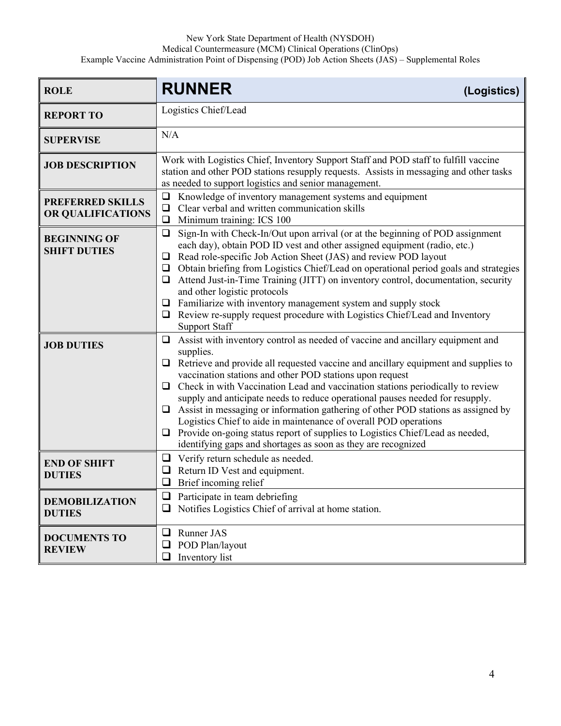#### New York State Department of Health (NYSDOH)

Medical Countermeasure (MCM) Clinical Operations (ClinOps)

Example Vaccine Administration Point of Dispensing (POD) Job Action Sheets (JAS) – Supplemental Roles

| <b>ROLE</b>                                  | <b>RUNNER</b><br>(Logistics)                                                                                                                                                                                                                                                                                                                                                                                                                                                                                                                                                                                                                                                                                                                               |
|----------------------------------------------|------------------------------------------------------------------------------------------------------------------------------------------------------------------------------------------------------------------------------------------------------------------------------------------------------------------------------------------------------------------------------------------------------------------------------------------------------------------------------------------------------------------------------------------------------------------------------------------------------------------------------------------------------------------------------------------------------------------------------------------------------------|
| <b>REPORT TO</b>                             | Logistics Chief/Lead                                                                                                                                                                                                                                                                                                                                                                                                                                                                                                                                                                                                                                                                                                                                       |
| <b>SUPERVISE</b>                             | N/A                                                                                                                                                                                                                                                                                                                                                                                                                                                                                                                                                                                                                                                                                                                                                        |
| <b>JOB DESCRIPTION</b>                       | Work with Logistics Chief, Inventory Support Staff and POD staff to fulfill vaccine<br>station and other POD stations resupply requests. Assists in messaging and other tasks<br>as needed to support logistics and senior management.                                                                                                                                                                                                                                                                                                                                                                                                                                                                                                                     |
| <b>PREFERRED SKILLS</b><br>OR QUALIFICATIONS | Knowledge of inventory management systems and equipment<br>❏<br>Clear verbal and written communication skills<br>$\Box$<br>Minimum training: ICS 100<br>❏                                                                                                                                                                                                                                                                                                                                                                                                                                                                                                                                                                                                  |
| <b>BEGINNING OF</b><br><b>SHIFT DUTIES</b>   | Sign-In with Check-In/Out upon arrival (or at the beginning of POD assignment<br>$\Box$<br>each day), obtain POD ID vest and other assigned equipment (radio, etc.)<br>$\Box$ Read role-specific Job Action Sheet (JAS) and review POD layout<br>Obtain briefing from Logistics Chief/Lead on operational period goals and strategies<br>❏<br>$\Box$ Attend Just-in-Time Training (JITT) on inventory control, documentation, security<br>and other logistic protocols<br>$\Box$ Familiarize with inventory management system and supply stock<br>$\Box$ Review re-supply request procedure with Logistics Chief/Lead and Inventory<br><b>Support Staff</b>                                                                                                |
| <b>JOB DUTIES</b>                            | Assist with inventory control as needed of vaccine and ancillary equipment and<br>❏<br>supplies.<br>$\Box$ Retrieve and provide all requested vaccine and ancillary equipment and supplies to<br>vaccination stations and other POD stations upon request<br>$\Box$ Check in with Vaccination Lead and vaccination stations periodically to review<br>supply and anticipate needs to reduce operational pauses needed for resupply.<br>$\Box$ Assist in messaging or information gathering of other POD stations as assigned by<br>Logistics Chief to aide in maintenance of overall POD operations<br>Provide on-going status report of supplies to Logistics Chief/Lead as needed,<br>□<br>identifying gaps and shortages as soon as they are recognized |
| <b>END OF SHIFT</b><br><b>DUTIES</b>         | Verify return schedule as needed.<br>⊔<br>$\Box$ Return ID Vest and equipment.<br>Brief incoming relief<br>❏                                                                                                                                                                                                                                                                                                                                                                                                                                                                                                                                                                                                                                               |
| <b>DEMOBILIZATION</b><br><b>DUTIES</b>       | Participate in team debriefing<br>⊔<br>Notifies Logistics Chief of arrival at home station.                                                                                                                                                                                                                                                                                                                                                                                                                                                                                                                                                                                                                                                                |
| <b>DOCUMENTS TO</b><br><b>REVIEW</b>         | Runner JAS<br>$\Box$<br>POD Plan/layout<br>⊔<br>Inventory list<br>❏                                                                                                                                                                                                                                                                                                                                                                                                                                                                                                                                                                                                                                                                                        |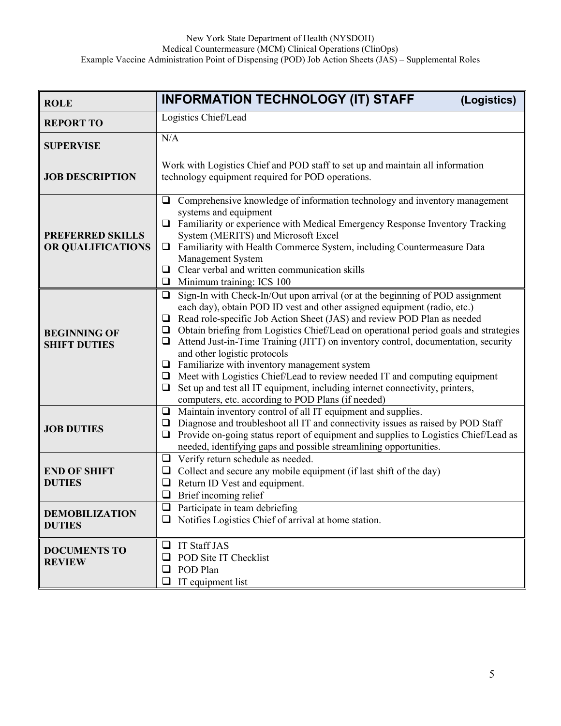| <b>ROLE</b>                                  | <b>INFORMATION TECHNOLOGY (IT) STAFF</b><br>(Logistics)                                                                                                                                                                                                                                                                                                                                                                                                                                                                                                                                                                                                                                                                                                           |
|----------------------------------------------|-------------------------------------------------------------------------------------------------------------------------------------------------------------------------------------------------------------------------------------------------------------------------------------------------------------------------------------------------------------------------------------------------------------------------------------------------------------------------------------------------------------------------------------------------------------------------------------------------------------------------------------------------------------------------------------------------------------------------------------------------------------------|
| <b>REPORT TO</b>                             | Logistics Chief/Lead                                                                                                                                                                                                                                                                                                                                                                                                                                                                                                                                                                                                                                                                                                                                              |
| <b>SUPERVISE</b>                             | N/A                                                                                                                                                                                                                                                                                                                                                                                                                                                                                                                                                                                                                                                                                                                                                               |
| <b>JOB DESCRIPTION</b>                       | Work with Logistics Chief and POD staff to set up and maintain all information<br>technology equipment required for POD operations.                                                                                                                                                                                                                                                                                                                                                                                                                                                                                                                                                                                                                               |
| <b>PREFERRED SKILLS</b><br>OR QUALIFICATIONS | Comprehensive knowledge of information technology and inventory management<br>❏<br>systems and equipment<br><b>Q</b> Familiarity or experience with Medical Emergency Response Inventory Tracking<br>System (MERITS) and Microsoft Excel<br>• Familiarity with Health Commerce System, including Countermeasure Data<br>Management System<br>$\Box$ Clear verbal and written communication skills<br>$\Box$ Minimum training: ICS 100                                                                                                                                                                                                                                                                                                                             |
| <b>BEGINNING OF</b><br><b>SHIFT DUTIES</b>   | Sign-In with Check-In/Out upon arrival (or at the beginning of POD assignment<br>❏<br>each day), obtain POD ID vest and other assigned equipment (radio, etc.)<br>Read role-specific Job Action Sheet (JAS) and review POD Plan as needed<br>□<br>Obtain briefing from Logistics Chief/Lead on operational period goals and strategies<br>$\Box$<br>Attend Just-in-Time Training (JITT) on inventory control, documentation, security<br>□<br>and other logistic protocols<br>$\Box$ Familiarize with inventory management system<br>$\Box$ Meet with Logistics Chief/Lead to review needed IT and computing equipment<br>Set up and test all IT equipment, including internet connectivity, printers,<br>□<br>computers, etc. according to POD Plans (if needed) |
| <b>JOB DUTIES</b>                            | Maintain inventory control of all IT equipment and supplies.<br>$\Box$<br>Diagnose and troubleshoot all IT and connectivity issues as raised by POD Staff<br>$\Box$<br>Provide on-going status report of equipment and supplies to Logistics Chief/Lead as<br>❏<br>needed, identifying gaps and possible streamlining opportunities.                                                                                                                                                                                                                                                                                                                                                                                                                              |
| <b>END OF SHIFT</b><br><b>DUTIES</b>         | $\Box$ Verify return schedule as needed.<br>Collect and secure any mobile equipment (if last shift of the day)<br>u<br>Return ID Vest and equipment.<br>$\Box$<br>Brief incoming relief<br>$\Box$                                                                                                                                                                                                                                                                                                                                                                                                                                                                                                                                                                 |
| <b>DEMOBILIZATION</b><br><b>DUTIES</b>       | Participate in team debriefing<br>⊔<br>Notifies Logistics Chief of arrival at home station.                                                                                                                                                                                                                                                                                                                                                                                                                                                                                                                                                                                                                                                                       |
| <b>DOCUMENTS TO</b><br><b>REVIEW</b>         | <b>IT Staff JAS</b><br>❏<br>POD Site IT Checklist<br>⊔<br>POD Plan<br>□<br>IT equipment list                                                                                                                                                                                                                                                                                                                                                                                                                                                                                                                                                                                                                                                                      |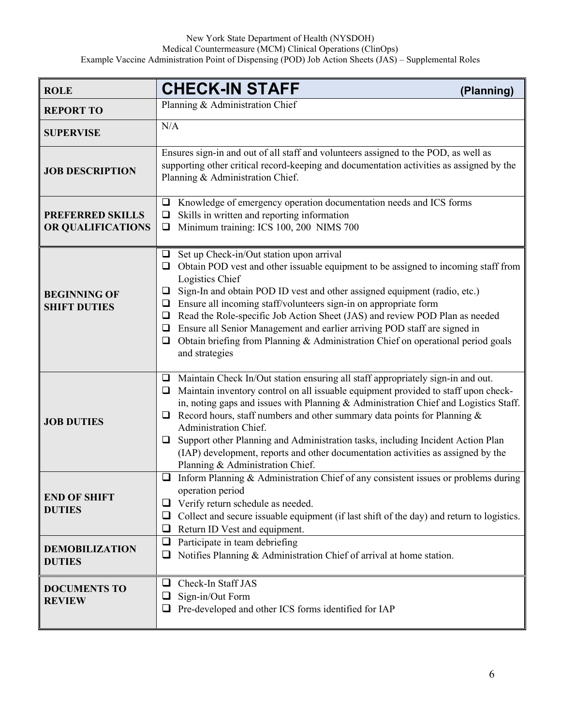| <b>ROLE</b>                                  | <b>CHECK-IN STAFF</b><br>(Planning)                                                                                                                                                                                                                                                                                                                                                                                                                                                                                                                                                                                    |
|----------------------------------------------|------------------------------------------------------------------------------------------------------------------------------------------------------------------------------------------------------------------------------------------------------------------------------------------------------------------------------------------------------------------------------------------------------------------------------------------------------------------------------------------------------------------------------------------------------------------------------------------------------------------------|
| <b>REPORT TO</b>                             | Planning & Administration Chief                                                                                                                                                                                                                                                                                                                                                                                                                                                                                                                                                                                        |
| <b>SUPERVISE</b>                             | N/A                                                                                                                                                                                                                                                                                                                                                                                                                                                                                                                                                                                                                    |
| <b>JOB DESCRIPTION</b>                       | Ensures sign-in and out of all staff and volunteers assigned to the POD, as well as<br>supporting other critical record-keeping and documentation activities as assigned by the<br>Planning & Administration Chief.                                                                                                                                                                                                                                                                                                                                                                                                    |
| <b>PREFERRED SKILLS</b><br>OR QUALIFICATIONS | Knowledge of emergency operation documentation needs and ICS forms<br>⊔<br>Skills in written and reporting information<br>$\Box$<br>Minimum training: ICS 100, 200 NIMS 700<br>$\Box$                                                                                                                                                                                                                                                                                                                                                                                                                                  |
| <b>BEGINNING OF</b><br><b>SHIFT DUTIES</b>   | Set up Check-in/Out station upon arrival<br>$\Box$<br>Obtain POD vest and other issuable equipment to be assigned to incoming staff from<br>□<br>Logistics Chief<br>Sign-In and obtain POD ID vest and other assigned equipment (radio, etc.)<br>⊔<br>Ensure all incoming staff/volunteers sign-in on appropriate form<br>❏<br>Read the Role-specific Job Action Sheet (JAS) and review POD Plan as needed<br>❏<br>Ensure all Senior Management and earlier arriving POD staff are signed in<br>$\Box$<br>Obtain briefing from Planning & Administration Chief on operational period goals<br>$\Box$<br>and strategies |
| <b>JOB DUTIES</b>                            | Maintain Check In/Out station ensuring all staff appropriately sign-in and out.<br>□<br>Maintain inventory control on all issuable equipment provided to staff upon check-<br>❏<br>in, noting gaps and issues with Planning & Administration Chief and Logistics Staff.<br>Record hours, staff numbers and other summary data points for Planning $\&$<br>□<br>Administration Chief.<br>Support other Planning and Administration tasks, including Incident Action Plan<br>□<br>(IAP) development, reports and other documentation activities as assigned by the<br>Planning & Administration Chief.                   |
| <b>END OF SHIFT</b><br><b>DUTIES</b>         | Inform Planning & Administration Chief of any consistent issues or problems during<br>❏<br>operation period<br>Verify return schedule as needed.<br>Collect and secure issuable equipment (if last shift of the day) and return to logistics.<br>⊔<br>Return ID Vest and equipment.<br>⊔                                                                                                                                                                                                                                                                                                                               |
| <b>DEMOBILIZATION</b><br><b>DUTIES</b>       | Participate in team debriefing<br>⊔<br>Notifies Planning & Administration Chief of arrival at home station.                                                                                                                                                                                                                                                                                                                                                                                                                                                                                                            |
| <b>DOCUMENTS TO</b><br><b>REVIEW</b>         | Check-In Staff JAS<br>└<br>Sign-in/Out Form<br>Pre-developed and other ICS forms identified for IAP                                                                                                                                                                                                                                                                                                                                                                                                                                                                                                                    |